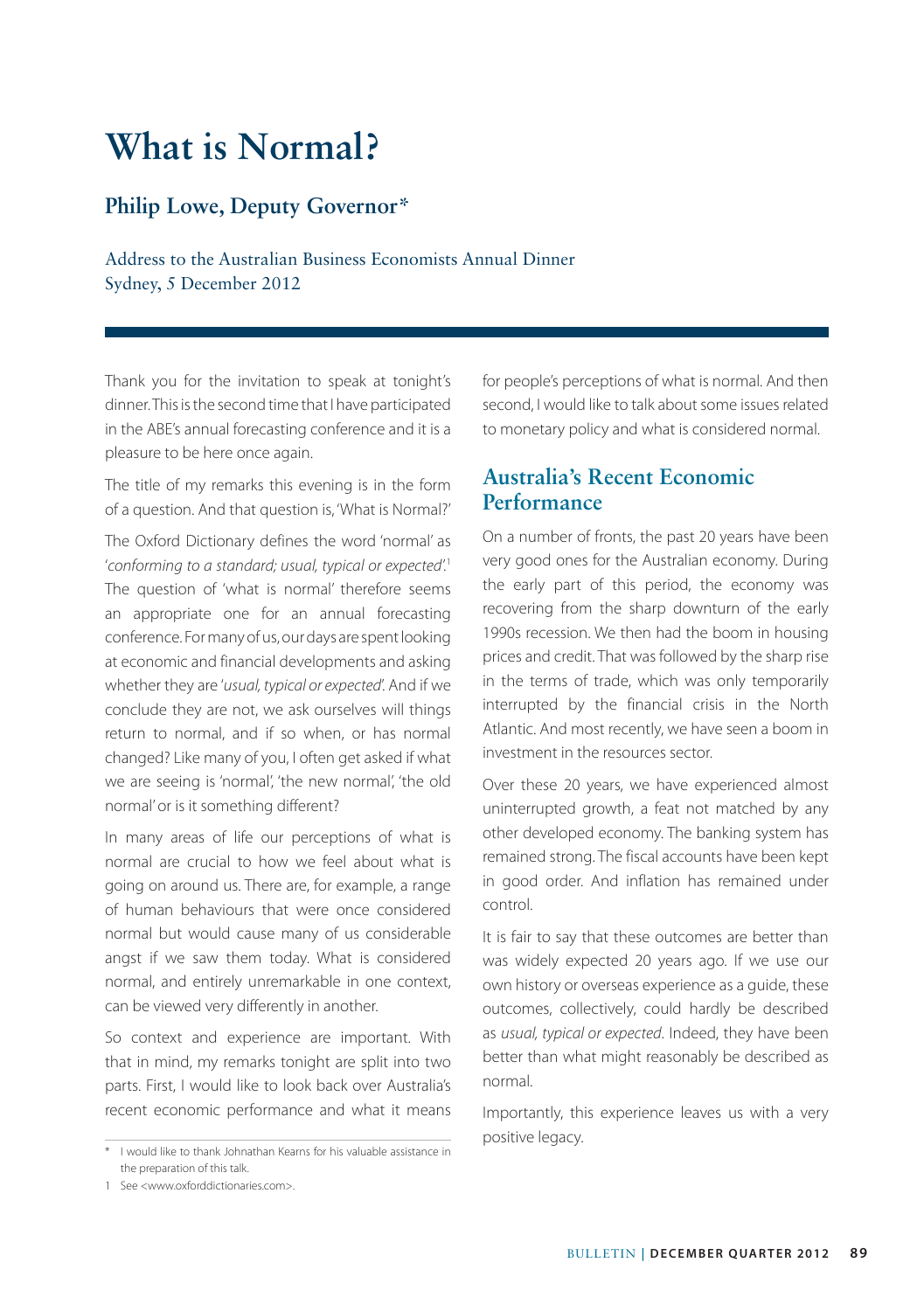# **What is Normal?**

## **Philip Lowe, Deputy Governor\***

Address to the Australian Business Economists Annual Dinner Sydney, 5 December 2012

Thank you for the invitation to speak at tonight's dinner. This is the second time that I have participated in the ABE's annual forecasting conference and it is a pleasure to be here once again.

The title of my remarks this evening is in the form of a question. And that question is, 'What is Normal?'

The Oxford Dictionary defines the word 'normal' as '*conforming to a standard; usual, typical or expected*'.1 The question of 'what is normal' therefore seems an appropriate one for an annual forecasting conference. For many of us, our days are spent looking at economic and financial developments and asking whether they are '*usual, typical or expected*'. And if we conclude they are not, we ask ourselves will things return to normal, and if so when, or has normal changed? Like many of you, I often get asked if what we are seeing is 'normal', 'the new normal', 'the old normal' or is it something different?

In many areas of life our perceptions of what is normal are crucial to how we feel about what is going on around us. There are, for example, a range of human behaviours that were once considered normal but would cause many of us considerable angst if we saw them today. What is considered normal, and entirely unremarkable in one context, can be viewed very differently in another.

So context and experience are important. With that in mind, my remarks tonight are split into two parts. First, I would like to look back over Australia's recent economic performance and what it means for people's perceptions of what is normal. And then second, I would like to talk about some issues related to monetary policy and what is considered normal.

## **Australia's Recent Economic Performance**

On a number of fronts, the past 20 years have been very good ones for the Australian economy. During the early part of this period, the economy was recovering from the sharp downturn of the early 1990s recession. We then had the boom in housing prices and credit. That was followed by the sharp rise in the terms of trade, which was only temporarily interrupted by the financial crisis in the North Atlantic. And most recently, we have seen a boom in investment in the resources sector.

Over these 20 years, we have experienced almost uninterrupted growth, a feat not matched by any other developed economy. The banking system has remained strong. The fiscal accounts have been kept in good order. And inflation has remained under control.

It is fair to say that these outcomes are better than was widely expected 20 years ago. If we use our own history or overseas experience as a guide, these outcomes, collectively, could hardly be described as *usual, typical or expected*. Indeed, they have been better than what might reasonably be described as normal.

Importantly, this experience leaves us with a very positive legacy.

<sup>\*</sup> I would like to thank Johnathan Kearns for his valuable assistance in the preparation of this talk.

<sup>1</sup> See <www.oxforddictionaries.com>.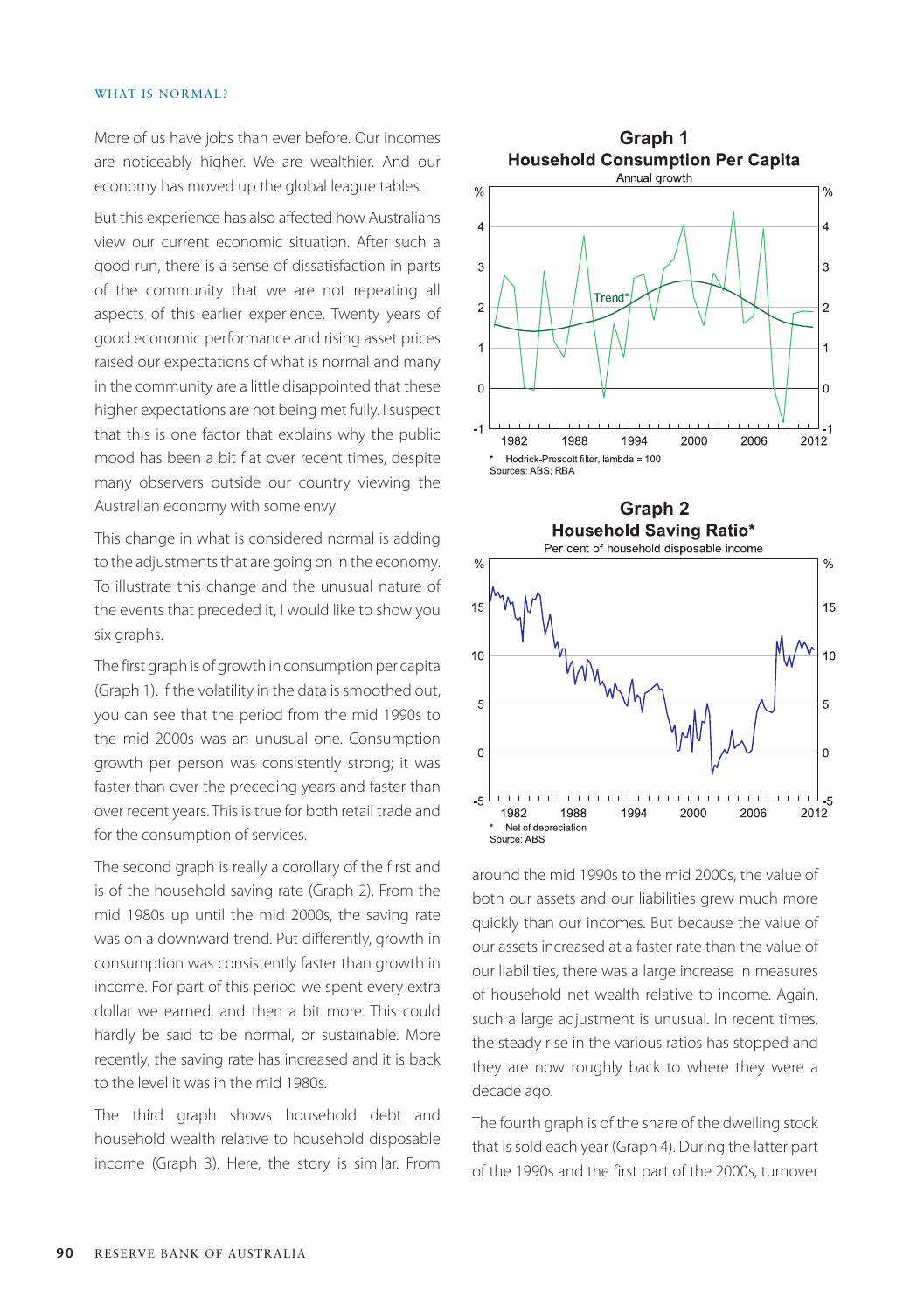More of us have jobs than ever before. Our incomes are noticeably higher. We are wealthier. And our economy has moved up the global league tables.

But this experience has also affected how Australians view our current economic situation. After such a good run, there is a sense of dissatisfaction in parts of the community that we are not repeating all aspects of this earlier experience. Twenty years of good economic performance and rising asset prices raised our expectations of what is normal and many in the community are a little disappointed that these higher expectations are not being met fully. I suspect that this is one factor that explains why the public mood has been a bit flat over recent times, despite many observers outside our country viewing the Australian economy with some envy.

This change in what is considered normal is adding to the adjustments that are going on in the economy. To illustrate this change and the unusual nature of the events that preceded it, I would like to show you six graphs.

The first graph is of growth in consumption per capita (Graph 1). If the volatility in the data is smoothed out, you can see that the period from the mid 1990s to the mid 2000s was an unusual one. Consumption growth per person was consistently strong; it was faster than over the preceding years and faster than over recent years. This is true for both retail trade and for the consumption of services.

The second graph is really a corollary of the first and is of the household saving rate (Graph 2). From the mid 1980s up until the mid 2000s, the saving rate was on a downward trend. Put differently, growth in consumption was consistently faster than growth in income. For part of this period we spent every extra dollar we earned, and then a bit more. This could hardly be said to be normal, or sustainable. More recently, the saving rate has increased and it is back to the level it was in the mid 1980s.

The third graph shows household debt and household wealth relative to household disposable income (Graph 3). Here, the story is similar. From





around the mid 1990s to the mid 2000s, the value of both our assets and our liabilities grew much more quickly than our incomes. But because the value of our assets increased at a faster rate than the value of our liabilities, there was a large increase in measures of household net wealth relative to income. Again, such a large adjustment is unusual. In recent times, the steady rise in the various ratios has stopped and they are now roughly back to where they were a decade ago.

The fourth graph is of the share of the dwelling stock that is sold each year (Graph 4). During the latter part of the 1990s and the first part of the 2000s, turnover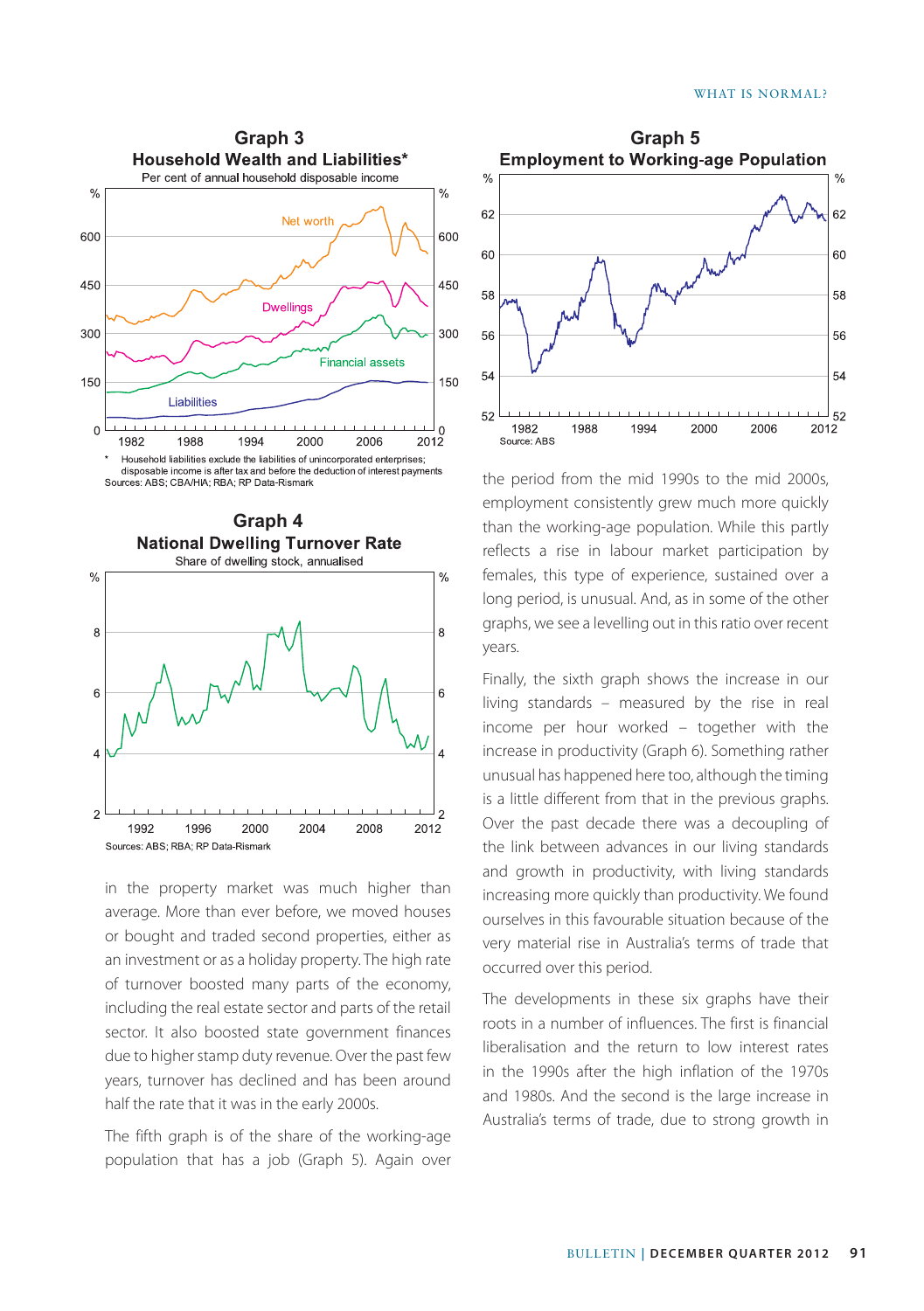

disposable income is after tax and before the deduction of interest payments<br>Sources: ABS; CBA/HIA; RBA; RP Data-Rismark



in the property market was much higher than average. More than ever before, we moved houses or bought and traded second properties, either as an investment or as a holiday property. The high rate of turnover boosted many parts of the economy, including the real estate sector and parts of the retail sector. It also boosted state government finances due to higher stamp duty revenue. Over the past few years, turnover has declined and has been around half the rate that it was in the early 2000s.

The fifth graph is of the share of the working-age population that has a job (Graph 5). Again over



the period from the mid 1990s to the mid 2000s, employment consistently grew much more quickly than the working-age population. While this partly reflects a rise in labour market participation by females, this type of experience, sustained over a long period, is unusual. And, as in some of the other graphs, we see a levelling out in this ratio over recent years.

Finally, the sixth graph shows the increase in our living standards – measured by the rise in real income per hour worked – together with the increase in productivity (Graph 6). Something rather unusual has happened here too, although the timing is a little different from that in the previous graphs. Over the past decade there was a decoupling of the link between advances in our living standards and growth in productivity, with living standards increasing more quickly than productivity. We found ourselves in this favourable situation because of the very material rise in Australia's terms of trade that occurred over this period.

The developments in these six graphs have their roots in a number of influences. The first is financial liberalisation and the return to low interest rates in the 1990s after the high inflation of the 1970s and 1980s. And the second is the large increase in Australia's terms of trade, due to strong growth in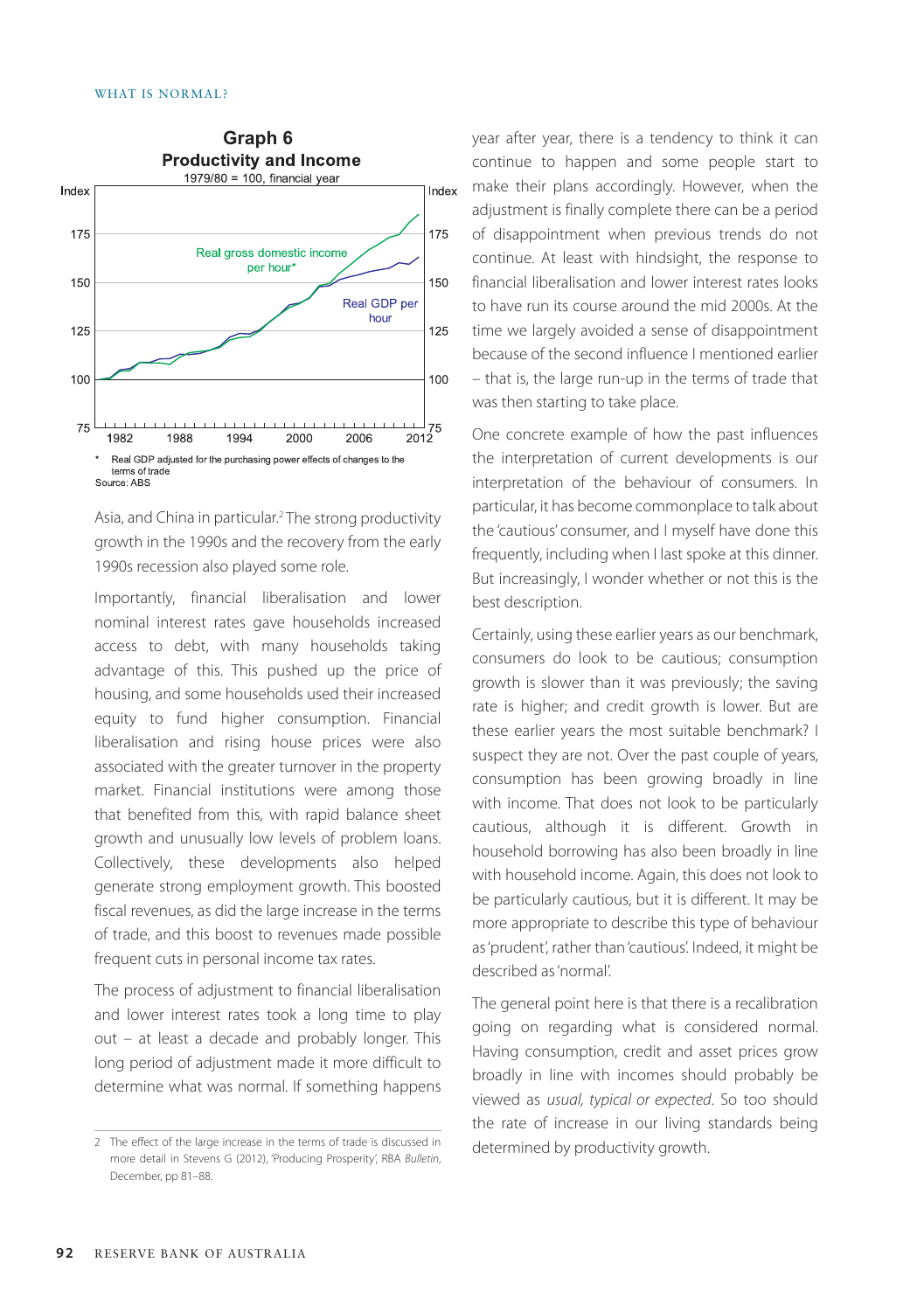

Asia, and China in particular.<sup>2</sup> The strong productivity growth in the 1990s and the recovery from the early 1990s recession also played some role.

Importantly, financial liberalisation and lower nominal interest rates gave households increased access to debt, with many households taking advantage of this. This pushed up the price of housing, and some households used their increased equity to fund higher consumption. Financial liberalisation and rising house prices were also associated with the greater turnover in the property market. Financial institutions were among those that benefited from this, with rapid balance sheet growth and unusually low levels of problem loans. Collectively, these developments also helped generate strong employment growth. This boosted fiscal revenues, as did the large increase in the terms of trade, and this boost to revenues made possible frequent cuts in personal income tax rates.

The process of adjustment to financial liberalisation and lower interest rates took a long time to play out – at least a decade and probably longer. This long period of adjustment made it more difficult to determine what was normal. If something happens year after year, there is a tendency to think it can continue to happen and some people start to make their plans accordingly. However, when the adjustment is finally complete there can be a period of disappointment when previous trends do not continue. At least with hindsight, the response to financial liberalisation and lower interest rates looks to have run its course around the mid 2000s. At the time we largely avoided a sense of disappointment because of the second influence I mentioned earlier – that is, the large run-up in the terms of trade that was then starting to take place.

One concrete example of how the past influences the interpretation of current developments is our interpretation of the behaviour of consumers. In particular, it has become commonplace to talk about the 'cautious' consumer, and I myself have done this frequently, including when I last spoke at this dinner. But increasingly, I wonder whether or not this is the best description.

Certainly, using these earlier years as our benchmark, consumers do look to be cautious; consumption growth is slower than it was previously; the saving rate is higher; and credit growth is lower. But are these earlier years the most suitable benchmark? I suspect they are not. Over the past couple of years, consumption has been growing broadly in line with income. That does not look to be particularly cautious, although it is different. Growth in household borrowing has also been broadly in line with household income. Again, this does not look to be particularly cautious, but it is different. It may be more appropriate to describe this type of behaviour as 'prudent', rather than 'cautious'. Indeed, it might be described as 'normal'.

The general point here is that there is a recalibration going on regarding what is considered normal. Having consumption, credit and asset prices grow broadly in line with incomes should probably be viewed as *usual, typical or expected*. So too should the rate of increase in our living standards being determined by productivity growth.

<sup>2</sup> The effect of the large increase in the terms of trade is discussed in more detail in Stevens G (2012), 'Producing Prosperity', RBA *Bulletin*, December, pp 81–88.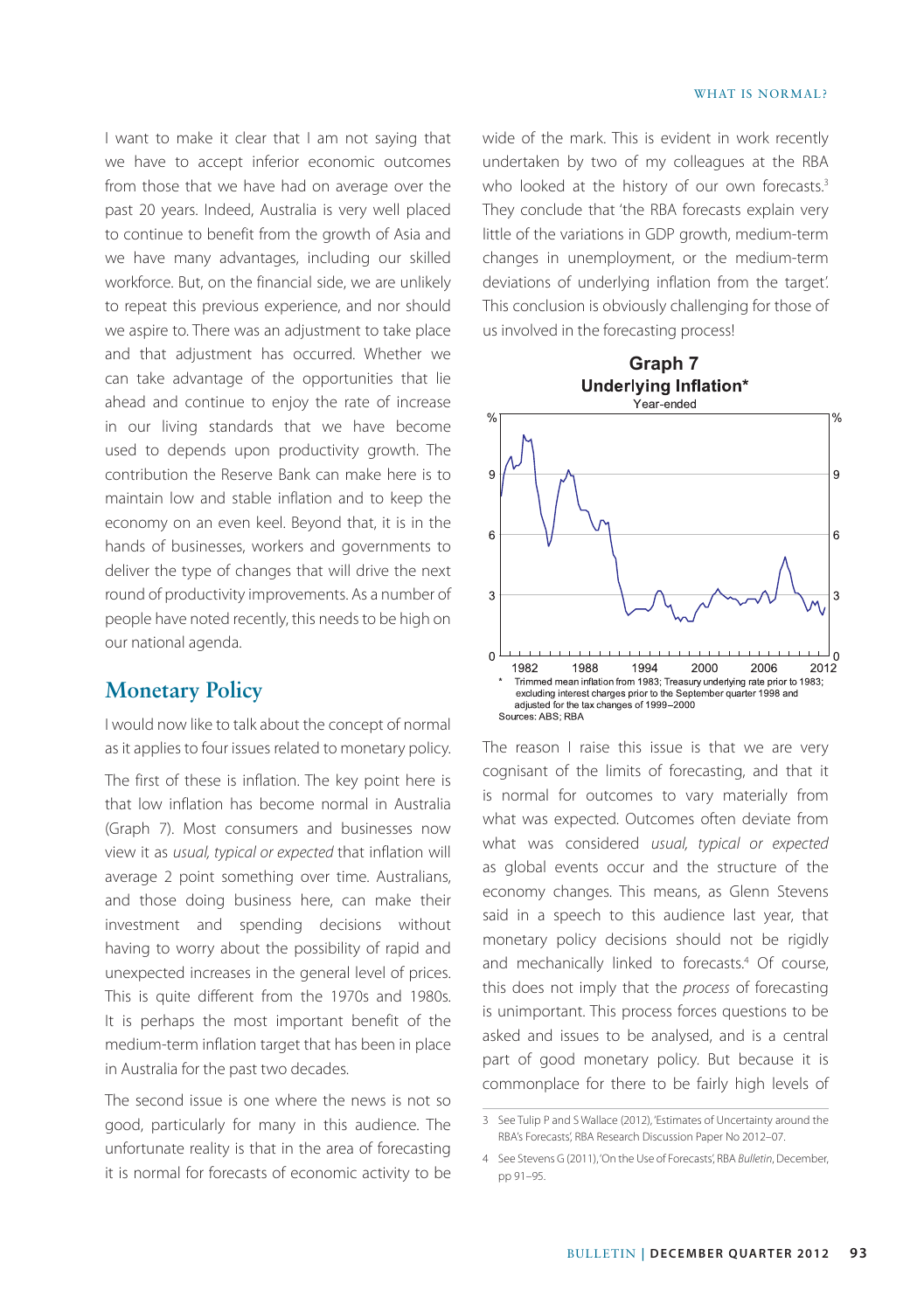I want to make it clear that I am not saying that we have to accept inferior economic outcomes from those that we have had on average over the past 20 years. Indeed, Australia is very well placed to continue to benefit from the growth of Asia and we have many advantages, including our skilled workforce. But, on the financial side, we are unlikely to repeat this previous experience, and nor should we aspire to. There was an adjustment to take place and that adjustment has occurred. Whether we can take advantage of the opportunities that lie ahead and continue to enjoy the rate of increase in our living standards that we have become used to depends upon productivity growth. The contribution the Reserve Bank can make here is to maintain low and stable inflation and to keep the economy on an even keel. Beyond that, it is in the hands of businesses, workers and governments to deliver the type of changes that will drive the next round of productivity improvements. As a number of people have noted recently, this needs to be high on our national agenda.

## **Monetary Policy**

I would now like to talk about the concept of normal as it applies to four issues related to monetary policy.

The first of these is inflation. The key point here is that low inflation has become normal in Australia (Graph 7). Most consumers and businesses now view it as *usual, typical or expected* that inflation will average 2 point something over time. Australians, and those doing business here, can make their investment and spending decisions without having to worry about the possibility of rapid and unexpected increases in the general level of prices. This is quite different from the 1970s and 1980s. It is perhaps the most important benefit of the medium-term inflation target that has been in place in Australia for the past two decades.

The second issue is one where the news is not so good, particularly for many in this audience. The unfortunate reality is that in the area of forecasting it is normal for forecasts of economic activity to be wide of the mark. This is evident in work recently undertaken by two of my colleagues at the RBA who looked at the history of our own forecasts.<sup>3</sup> They conclude that 'the RBA forecasts explain very little of the variations in GDP growth, medium-term changes in unemployment, or the medium-term deviations of underlying inflation from the target'. This conclusion is obviously challenging for those of us involved in the forecasting process!



The reason I raise this issue is that we are very cognisant of the limits of forecasting, and that it is normal for outcomes to vary materially from what was expected. Outcomes often deviate from what was considered *usual, typical or expected* as global events occur and the structure of the economy changes. This means, as Glenn Stevens said in a speech to this audience last year, that monetary policy decisions should not be rigidly and mechanically linked to forecasts.<sup>4</sup> Of course, this does not imply that the *process* of forecasting is unimportant. This process forces questions to be asked and issues to be analysed, and is a central part of good monetary policy. But because it is commonplace for there to be fairly high levels of

<sup>3</sup> See Tulip P and S Wallace (2012), 'Estimates of Uncertainty around the RBA's Forecasts', RBA Research Discussion Paper No 2012–07.

<sup>4</sup> See Stevens G (2011), 'On the Use of Forecasts', RBA *Bulletin*, December, pp 91–95.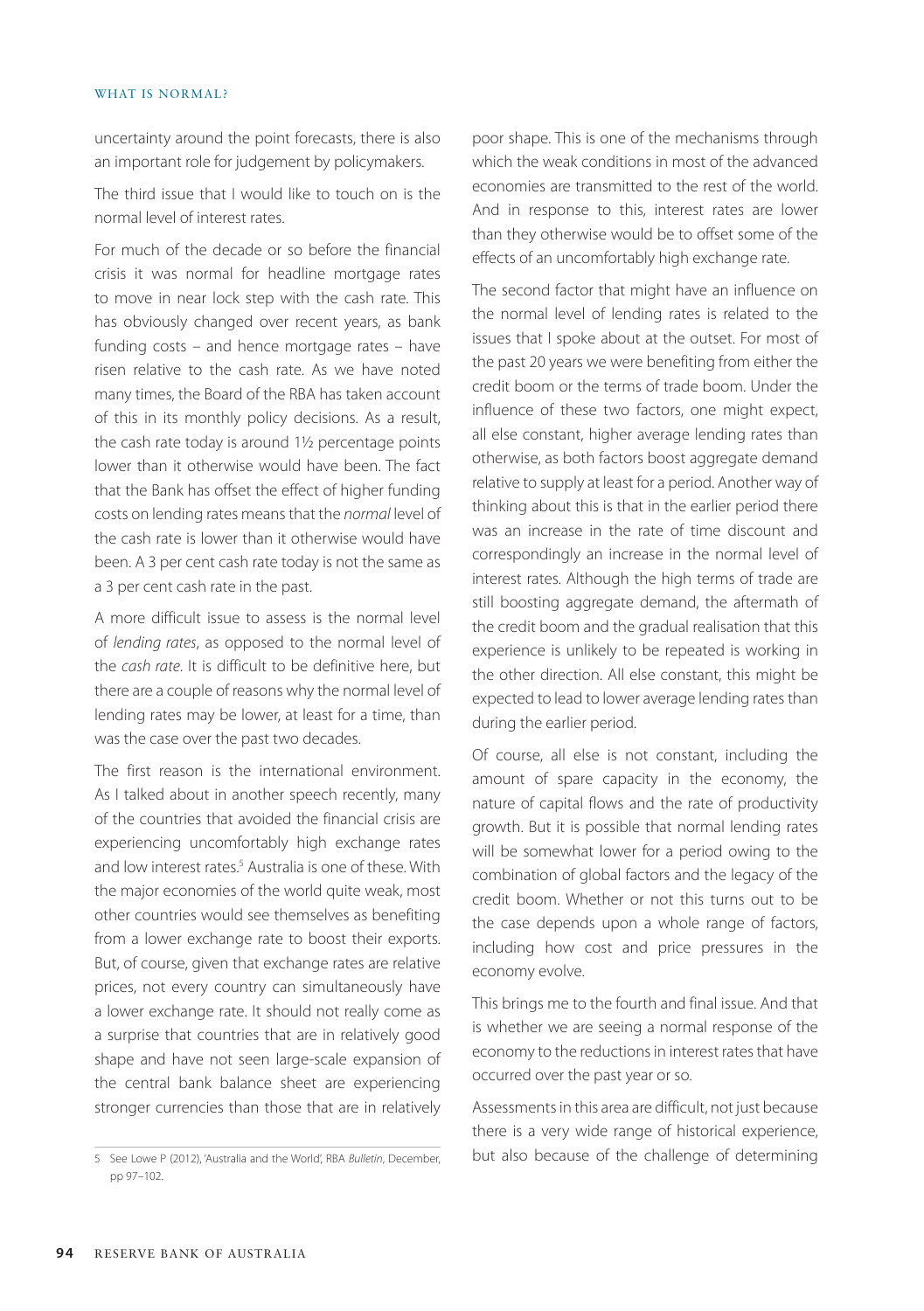uncertainty around the point forecasts, there is also an important role for judgement by policymakers.

The third issue that I would like to touch on is the normal level of interest rates.

For much of the decade or so before the financial crisis it was normal for headline mortgage rates to move in near lock step with the cash rate. This has obviously changed over recent years, as bank funding costs – and hence mortgage rates – have risen relative to the cash rate. As we have noted many times, the Board of the RBA has taken account of this in its monthly policy decisions. As a result, the cash rate today is around 1½ percentage points lower than it otherwise would have been. The fact that the Bank has offset the effect of higher funding costs on lending rates means that the *normal* level of the cash rate is lower than it otherwise would have been. A 3 per cent cash rate today is not the same as a 3 per cent cash rate in the past.

A more difficult issue to assess is the normal level of *lending rates*, as opposed to the normal level of the *cash rate*. It is difficult to be definitive here, but there are a couple of reasons why the normal level of lending rates may be lower, at least for a time, than was the case over the past two decades.

The first reason is the international environment. As I talked about in another speech recently, many of the countries that avoided the financial crisis are experiencing uncomfortably high exchange rates and low interest rates.<sup>5</sup> Australia is one of these. With the major economies of the world quite weak, most other countries would see themselves as benefiting from a lower exchange rate to boost their exports. But, of course, given that exchange rates are relative prices, not every country can simultaneously have a lower exchange rate. It should not really come as a surprise that countries that are in relatively good shape and have not seen large-scale expansion of the central bank balance sheet are experiencing stronger currencies than those that are in relatively

poor shape. This is one of the mechanisms through which the weak conditions in most of the advanced economies are transmitted to the rest of the world. And in response to this, interest rates are lower than they otherwise would be to offset some of the effects of an uncomfortably high exchange rate.

The second factor that might have an influence on the normal level of lending rates is related to the issues that I spoke about at the outset. For most of the past 20 years we were benefiting from either the credit boom or the terms of trade boom. Under the influence of these two factors, one might expect, all else constant, higher average lending rates than otherwise, as both factors boost aggregate demand relative to supply at least for a period. Another way of thinking about this is that in the earlier period there was an increase in the rate of time discount and correspondingly an increase in the normal level of interest rates. Although the high terms of trade are still boosting aggregate demand, the aftermath of the credit boom and the gradual realisation that this experience is unlikely to be repeated is working in the other direction. All else constant, this might be expected to lead to lower average lending rates than during the earlier period.

Of course, all else is not constant, including the amount of spare capacity in the economy, the nature of capital flows and the rate of productivity growth. But it is possible that normal lending rates will be somewhat lower for a period owing to the combination of global factors and the legacy of the credit boom. Whether or not this turns out to be the case depends upon a whole range of factors, including how cost and price pressures in the economy evolve.

This brings me to the fourth and final issue. And that is whether we are seeing a normal response of the economy to the reductions in interest rates that have occurred over the past year or so.

Assessments in this area are difficult, not just because there is a very wide range of historical experience, but also because of the challenge of determining

<sup>5</sup> See Lowe P (2012), 'Australia and the World', RBA *Bulletin*, December, pp 97–102.